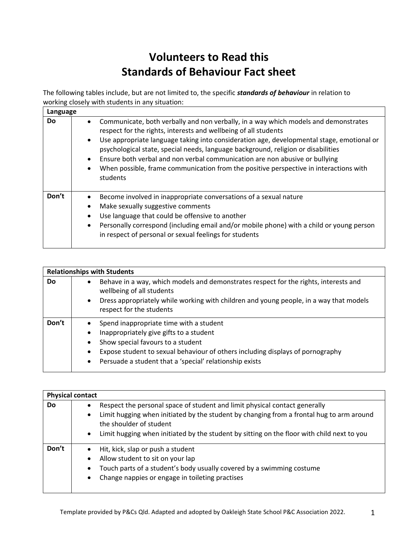## **Volunteers to Read this Standards of Behaviour Fact sheet**

The following tables include, but are not limited to, the specific *standards of behaviour* in relation to working closely with students in any situation:

| Language |                                                                                                                                                                                                                                                                                                                                                                                                                                                                                                                                                                     |
|----------|---------------------------------------------------------------------------------------------------------------------------------------------------------------------------------------------------------------------------------------------------------------------------------------------------------------------------------------------------------------------------------------------------------------------------------------------------------------------------------------------------------------------------------------------------------------------|
| Do       | Communicate, both verbally and non verbally, in a way which models and demonstrates<br>$\bullet$<br>respect for the rights, interests and wellbeing of all students<br>Use appropriate language taking into consideration age, developmental stage, emotional or<br>$\bullet$<br>psychological state, special needs, language background, religion or disabilities<br>Ensure both verbal and non verbal communication are non abusive or bullying<br>When possible, frame communication from the positive perspective in interactions with<br>$\bullet$<br>students |
| Don't    | Become involved in inappropriate conversations of a sexual nature<br>Make sexually suggestive comments<br>٠<br>Use language that could be offensive to another<br>$\bullet$<br>Personally correspond (including email and/or mobile phone) with a child or young person<br>$\bullet$<br>in respect of personal or sexual feelings for students                                                                                                                                                                                                                      |

| <b>Relationships with Students</b> |                                                                                                                                                                                                                                                      |                                                                                                                                                                                                                                                                      |  |  |  |  |  |  |  |  |
|------------------------------------|------------------------------------------------------------------------------------------------------------------------------------------------------------------------------------------------------------------------------------------------------|----------------------------------------------------------------------------------------------------------------------------------------------------------------------------------------------------------------------------------------------------------------------|--|--|--|--|--|--|--|--|
| Do                                 | Behave in a way, which models and demonstrates respect for the rights, interests and<br>wellbeing of all students<br>Dress appropriately while working with children and young people, in a way that models<br>$\bullet$<br>respect for the students |                                                                                                                                                                                                                                                                      |  |  |  |  |  |  |  |  |
| Don't                              | $\bullet$<br>$\bullet$<br>$\bullet$<br>$\bullet$                                                                                                                                                                                                     | Spend inappropriate time with a student<br>Inappropriately give gifts to a student<br>Show special favours to a student<br>Expose student to sexual behaviour of others including displays of pornography<br>Persuade a student that a 'special' relationship exists |  |  |  |  |  |  |  |  |

| <b>Physical contact</b> |                                                                                                                     |                                                                                            |  |  |  |  |  |  |  |
|-------------------------|---------------------------------------------------------------------------------------------------------------------|--------------------------------------------------------------------------------------------|--|--|--|--|--|--|--|
| Do                      |                                                                                                                     | Respect the personal space of student and limit physical contact generally                 |  |  |  |  |  |  |  |
|                         | Limit hugging when initiated by the student by changing from a frontal hug to arm around<br>the shoulder of student |                                                                                            |  |  |  |  |  |  |  |
|                         | $\bullet$                                                                                                           | Limit hugging when initiated by the student by sitting on the floor with child next to you |  |  |  |  |  |  |  |
| Don't                   |                                                                                                                     | Hit, kick, slap or push a student                                                          |  |  |  |  |  |  |  |
|                         |                                                                                                                     | Allow student to sit on your lap                                                           |  |  |  |  |  |  |  |
|                         | $\bullet$                                                                                                           | Touch parts of a student's body usually covered by a swimming costume                      |  |  |  |  |  |  |  |
|                         | $\bullet$                                                                                                           | Change nappies or engage in toileting practises                                            |  |  |  |  |  |  |  |
|                         |                                                                                                                     |                                                                                            |  |  |  |  |  |  |  |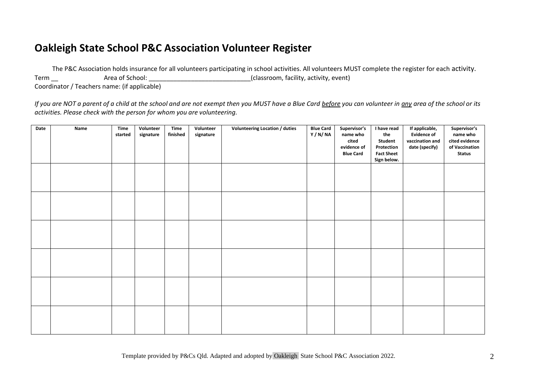## **Oakleigh State School P&C Association Volunteer Register**

The P&C Association holds insurance for all volunteers participating in school activities. All volunteers MUST complete the register for each activity. Term and Area of School: the area of School: and Area of School: the area of School: the area of School: the area of School:  $\alpha$  and  $\alpha$  and  $\alpha$  and  $\alpha$  area of School:  $\alpha$  and  $\alpha$  area of School:  $\alpha$  and  $\alpha$  area

Coordinator / Teachers name: (if applicable)

*If you are NOT a parent of a child at the school and are not exempt then you MUST have a Blue Card before you can volunteer in any area of the school or its activities. Please check with the person for whom you are volunteering.*

| Date | Name | <b>Time</b><br>started | Volunteer<br>signature | Time<br>finished | Volunteer<br>signature | <b>Volunteering Location / duties</b> | <b>Blue Card</b><br>Y / N/ NA | Supervisor's<br>name who<br>cited<br>evidence of<br><b>Blue Card</b> | I have read<br>the<br>Student<br>Protection<br><b>Fact Sheet</b><br>Sign below. | If applicable,<br><b>Evidence of</b><br>vaccination and<br>date (specify) | Supervisor's<br>name who<br>cited evidence<br>of Vaccination<br><b>Status</b> |
|------|------|------------------------|------------------------|------------------|------------------------|---------------------------------------|-------------------------------|----------------------------------------------------------------------|---------------------------------------------------------------------------------|---------------------------------------------------------------------------|-------------------------------------------------------------------------------|
|      |      |                        |                        |                  |                        |                                       |                               |                                                                      |                                                                                 |                                                                           |                                                                               |
|      |      |                        |                        |                  |                        |                                       |                               |                                                                      |                                                                                 |                                                                           |                                                                               |
|      |      |                        |                        |                  |                        |                                       |                               |                                                                      |                                                                                 |                                                                           |                                                                               |
|      |      |                        |                        |                  |                        |                                       |                               |                                                                      |                                                                                 |                                                                           |                                                                               |
|      |      |                        |                        |                  |                        |                                       |                               |                                                                      |                                                                                 |                                                                           |                                                                               |
|      |      |                        |                        |                  |                        |                                       |                               |                                                                      |                                                                                 |                                                                           |                                                                               |